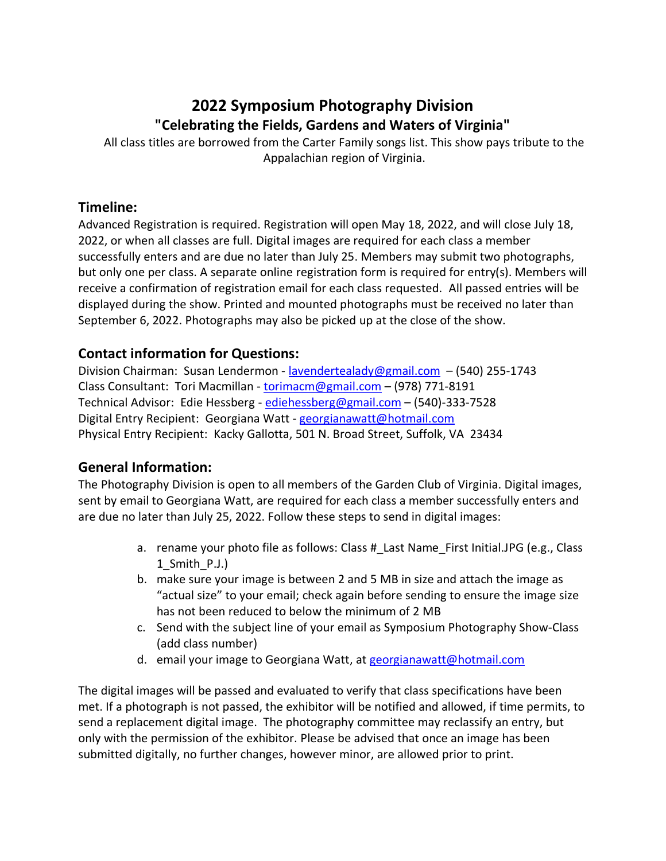# **2022 Symposium Photography Division "Celebrating the Fields, Gardens and Waters of Virginia"**

All class titles are borrowed from the Carter Family songs list. This show pays tribute to the Appalachian region of Virginia.

### **Timeline:**

Advanced Registration is required. Registration will open May 18, 2022, and will close July 18, 2022, or when all classes are full. Digital images are required for each class a member successfully enters and are due no later than July 25. Members may submit two photographs, but only one per class. A separate online registration form is required for entry(s). Members will receive a confirmation of registration email for each class requested. All passed entries will be displayed during the show. Printed and mounted photographs must be received no later than September 6, 2022. Photographs may also be picked up at the close of the show.

# **Contact information for Questions:**

Division Chairman: Susan Lendermon - [lavendertealady@gmail.com](mailto:lavendertealady@gmail.com) - (540) 255-1743 Class Consultant: Tori Macmillan - [torimacm@gmail.com](mailto:torimacm@gmail.com) – (978) 771-8191 Technical Advisor: Edie Hessberg - [ediehessberg@gmail.com](mailto:ediehessberg@gmail.com) – (540)-333-7528 Digital Entry Recipient: Georgiana Watt - [georgianawatt@hotmail.com](mailto:georgianawatt@hotmail.com) Physical Entry Recipient: Kacky Gallotta, 501 N. Broad Street, Suffolk, VA 23434

# **General Information:**

The Photography Division is open to all members of the Garden Club of Virginia. Digital images, sent by email to Georgiana Watt, are required for each class a member successfully enters and are due no later than July 25, 2022. Follow these steps to send in digital images:

- a. rename your photo file as follows: Class # Last Name First Initial.JPG (e.g., Class 1\_Smith\_P.J.)
- b. make sure your image is between 2 and 5 MB in size and attach the image as "actual size" to your email; check again before sending to ensure the image size has not been reduced to below the minimum of 2 MB
- c. Send with the subject line of your email as Symposium Photography Show-Class (add class number)
- d. email your image to Georgiana Watt, a[t georgianawatt@hotmail.com](mailto:georgianawatt@hotmail.com)

The digital images will be passed and evaluated to verify that class specifications have been met. If a photograph is not passed, the exhibitor will be notified and allowed, if time permits, to send a replacement digital image. The photography committee may reclassify an entry, but only with the permission of the exhibitor. Please be advised that once an image has been submitted digitally, no further changes, however minor, are allowed prior to print.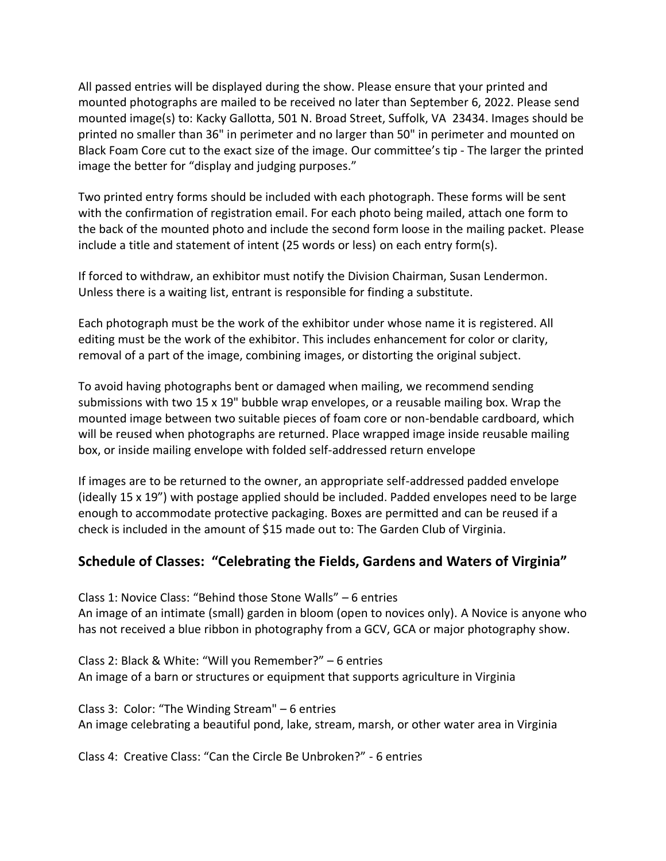All passed entries will be displayed during the show. Please ensure that your printed and mounted photographs are mailed to be received no later than September 6, 2022. Please send mounted image(s) to: Kacky Gallotta, 501 N. Broad Street, Suffolk, VA 23434. Images should be printed no smaller than 36" in perimeter and no larger than 50" in perimeter and mounted on Black Foam Core cut to the exact size of the image. Our committee's tip - The larger the printed image the better for "display and judging purposes."

Two printed entry forms should be included with each photograph. These forms will be sent with the confirmation of registration email. For each photo being mailed, attach one form to the back of the mounted photo and include the second form loose in the mailing packet. Please include a title and statement of intent (25 words or less) on each entry form(s).

If forced to withdraw, an exhibitor must notify the Division Chairman, Susan Lendermon. Unless there is a waiting list, entrant is responsible for finding a substitute.

Each photograph must be the work of the exhibitor under whose name it is registered. All editing must be the work of the exhibitor. This includes enhancement for color or clarity, removal of a part of the image, combining images, or distorting the original subject.

To avoid having photographs bent or damaged when mailing, we recommend sending submissions with two 15 x 19" bubble wrap envelopes, or a reusable mailing box. Wrap the mounted image between two suitable pieces of foam core or non-bendable cardboard, which will be reused when photographs are returned. Place wrapped image inside reusable mailing box, or inside mailing envelope with folded self-addressed return envelope

If images are to be returned to the owner, an appropriate self-addressed padded envelope (ideally 15 x 19") with postage applied should be included. Padded envelopes need to be large enough to accommodate protective packaging. Boxes are permitted and can be reused if a check is included in the amount of \$15 made out to: The Garden Club of Virginia.

### **Schedule of Classes: "Celebrating the Fields, Gardens and Waters of Virginia"**

Class 1: Novice Class: "Behind those Stone Walls" – 6 entries An image of an intimate (small) garden in bloom (open to novices only). A Novice is anyone who has not received a blue ribbon in photography from a GCV, GCA or major photography show.

Class 2: Black & White: "Will you Remember?" – 6 entries An image of a barn or structures or equipment that supports agriculture in Virginia

Class 3: Color: "The Winding Stream" – 6 entries An image celebrating a beautiful pond, lake, stream, marsh, or other water area in Virginia

Class 4: Creative Class: "Can the Circle Be Unbroken?" - 6 entries